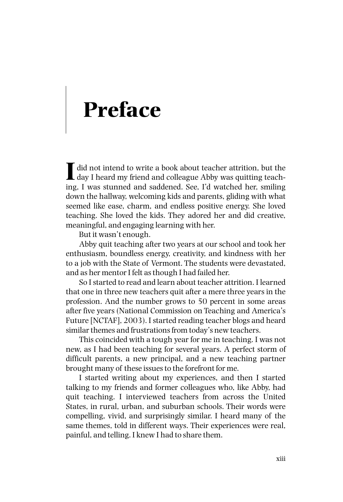## **Preface**

II did not intend to write a book about teacher attrition, but the day I heard my friend and colleague Abby was quitting teaching, I was stunned and saddened. See, I'd watched her, smiling down the hallway, welcoming kids and parents, gliding with what seemed like ease, charm, and endless positive energy. She loved teaching. She loved the kids. They adored her and did creative, meaningful, and engaging learning with her.

But it wasn't enough.

Abby quit teaching after two years at our school and took her enthusiasm, boundless energy, creativity, and kindness with her to a job with the State of Vermont. The students were devastated, and as her mentor I felt as though I had failed her.

So I started to read and learn about teacher attrition. I learned that one in three new teachers quit after a mere three years in the profession. And the number grows to 50 percent in some areas after five years (National Commission on Teaching and America's Future [NCTAF], 2003). I started reading teacher blogs and heard similar themes and frustrations from today's new teachers.

This coincided with a tough year for me in teaching. I was not new, as I had been teaching for several years. A perfect storm of difficult parents, a new principal, and a new teaching partner brought many of these issues to the forefront for me.

I started writing about my experiences, and then I started talking to my friends and former colleagues who, like Abby, had quit teaching. I interviewed teachers from across the United States, in rural, urban, and suburban schools. Their words were compelling, vivid, and surprisingly similar. I heard many of the same themes, told in different ways. Their experiences were real, painful, and telling. I knew I had to share them.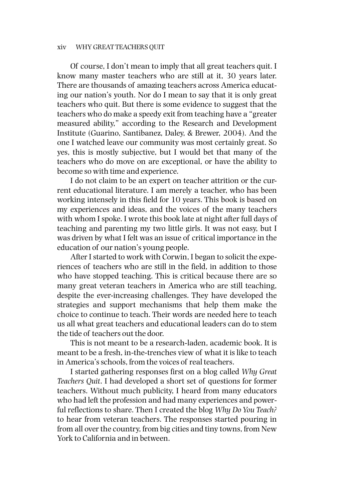## xiv WHY GREAT TEACHERS QUIT

Of course, I don't mean to imply that all great teachers quit. I know many master teachers who are still at it, 30 years later. There are thousands of amazing teachers across America educating our nation's youth. Nor do I mean to say that it is only great teachers who quit. But there is some evidence to suggest that the teachers who do make a speedy exit from teaching have a "greater measured ability," according to the Research and Development Institute (Guarino, Santibanez, Daley, & Brewer, 2004). And the one I watched leave our community was most certainly great. So yes, this is mostly subjective, but I would bet that many of the teachers who do move on are exceptional, or have the ability to become so with time and experience.

I do not claim to be an expert on teacher attrition or the current educational literature. I am merely a teacher, who has been working intensely in this field for 10 years. This book is based on my experiences and ideas, and the voices of the many teachers with whom I spoke. I wrote this book late at night after full days of teaching and parenting my two little girls. It was not easy, but I was driven by what I felt was an issue of critical importance in the education of our nation's young people.

After I started to work with Corwin, I began to solicit the experiences of teachers who are still in the field, in addition to those who have stopped teaching. This is critical because there are so many great veteran teachers in America who are still teaching, despite the ever-increasing challenges. They have developed the strategies and support mechanisms that help them make the choice to continue to teach. Their words are needed here to teach us all what great teachers and educational leaders can do to stem the tide of teachers out the door.

This is not meant to be a research-laden, academic book. It is meant to be a fresh, in-the-trenches view of what it is like to teach in America's schools, from the voices of real teachers.

I started gathering responses first on a blog called *Why Great Teachers Quit*. I had developed a short set of questions for former teachers. Without much publicity, I heard from many educators who had left the profession and had many experiences and powerful reflections to share. Then I created the blog *Why Do You Teach?* to hear from veteran teachers. The responses started pouring in from all over the country, from big cities and tiny towns, from New York to California and in between.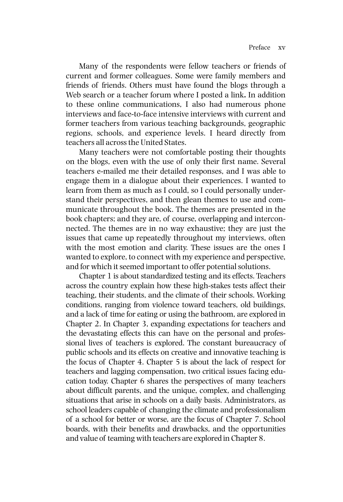Many of the respondents were fellow teachers or friends of current and former colleagues. Some were family members and friends of friends. Others must have found the blogs through a Web search or a teacher forum where I posted a link**.** In addition to these online communications, I also had numerous phone interviews and face-to-face intensive interviews with current and former teachers from various teaching backgrounds, geographic regions, schools, and experience levels. I heard directly from teachers all across the United States.

Many teachers were not comfortable posting their thoughts on the blogs, even with the use of only their first name. Several teachers e-mailed me their detailed responses, and I was able to engage them in a dialogue about their experiences. I wanted to learn from them as much as I could, so I could personally understand their perspectives, and then glean themes to use and communicate throughout the book. The themes are presented in the book chapters; and they are, of course, overlapping and interconnected. The themes are in no way exhaustive; they are just the issues that came up repeatedly throughout my interviews, often with the most emotion and clarity. These issues are the ones I wanted to explore, to connect with my experience and perspective, and for which it seemed important to offer potential solutions.

Chapter 1 is about standardized testing and its effects. Teachers across the country explain how these high-stakes tests affect their teaching, their students, and the climate of their schools. Working conditions, ranging from violence toward teachers, old buildings, and a lack of time for eating or using the bathroom, are explored in Chapter 2. In Chapter 3, expanding expectations for teachers and the devastating effects this can have on the personal and professional lives of teachers is explored. The constant bureaucracy of public schools and its effects on creative and innovative teaching is the focus of Chapter 4. Chapter 5 is about the lack of respect for teachers and lagging compensation, two critical issues facing education today. Chapter 6 shares the perspectives of many teachers about difficult parents, and the unique, complex, and challenging situations that arise in schools on a daily basis. Administrators, as school leaders capable of changing the climate and professionalism of a school for better or worse, are the focus of Chapter 7. School boards, with their benefits and drawbacks, and the opportunities and value of teaming with teachers are explored in Chapter 8.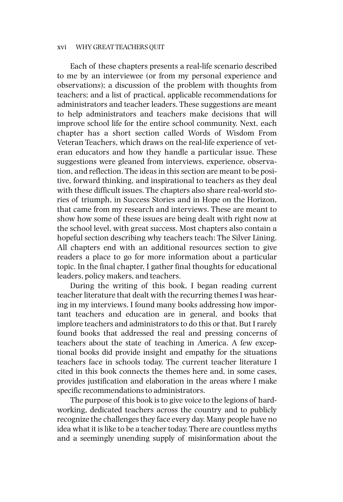## xvi WHY GREATTEACHERS QUIT

Each of these chapters presents a real-life scenario described to me by an interviewee (or from my personal experience and observations); a discussion of the problem with thoughts from teachers; and a list of practical, applicable recommendations for administrators and teacher leaders. These suggestions are meant to help administrators and teachers make decisions that will improve school life for the entire school community. Next, each chapter has a short section called Words of Wisdom From Veteran Teachers, which draws on the real-life experience of veteran educators and how they handle a particular issue. These suggestions were gleaned from interviews, experience, observation, and reflection. The ideas in this section are meant to be positive, forward thinking, and inspirational to teachers as they deal with these difficult issues. The chapters also share real-world stories of triumph, in Success Stories and in Hope on the Horizon, that came from my research and interviews. These are meant to show how some of these issues are being dealt with right now at the school level, with great success. Most chapters also contain a hopeful section describing why teachers teach: The Silver Lining. All chapters end with an additional resources section to give readers a place to go for more information about a particular topic. In the final chapter, I gather final thoughts for educational leaders, policy makers, and teachers.

During the writing of this book, I began reading current teacher literature that dealt with the recurring themes I was hearing in my interviews. I found many books addressing how important teachers and education are in general, and books that implore teachers and administrators to do this or that. But I rarely found books that addressed the real and pressing concerns of teachers about the state of teaching in America. A few exceptional books did provide insight and empathy for the situations teachers face in schools today. The current teacher literature I cited in this book connects the themes here and, in some cases, provides justification and elaboration in the areas where I make specific recommendations to administrators.

The purpose of this book is to give voice to the legions of hardworking, dedicated teachers across the country and to publicly recognize the challenges they face every day. Many people have no idea what it is like to be a teacher today. There are countless myths and a seemingly unending supply of misinformation about the